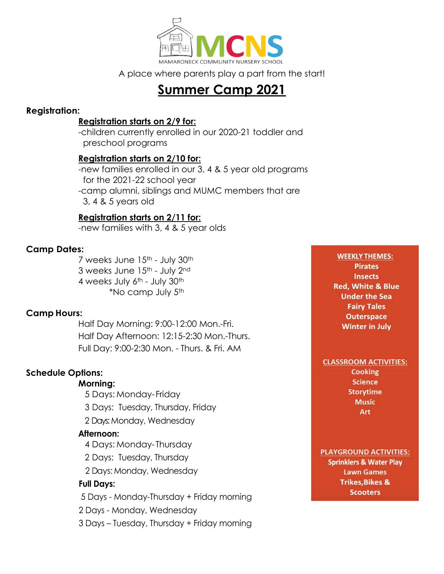

A place where parents play a part from the start!

# **Summer Camp 2021**

## **Registration:**

## **Registration starts on 2/9 for:**

-children currently enrolled in our 2020-21 toddler and preschool programs

## **Registration starts on 2/10 for:**

-new families enrolled in our 3, 4 & 5 year old programs for the 2021-22 school year -camp alumni, siblings and MUMC members that are 3, 4 & 5 years old

# **Registration starts on 2/11 for:**

-new families with 3, 4 & 5 year olds

## **Camp Dates:**

7 weeks June 15<sup>th</sup> - July 30<sup>th</sup> 3 weeks June 15<sup>th</sup> - July 2<sup>nd</sup> 4 weeks July 6th - July 30th \*No camp July 5th

#### **Camp Hours:**

Half Day Morning: 9:00-12:00 Mon.-Fri. Half Day Afternoon: 12:15-2:30 Mon.-Thurs. Full Day: 9:00-2:30 Mon. - Thurs. & Fri. AM

# **Schedule Options:**

#### **Morning:**

- 5 Days: Monday- Friday
- 3 Days: Tuesday, Thursday, Friday
- 2 Days: Monday, Wednesday

#### **Afternoon:**

- 4 Days: Monday- Thursday
- 2 Days: Tuesday, Thursday
- 2 Days: Monday, Wednesday

#### **Full Days:**

- 5 Days Monday-Thursday + Friday morning
- 2 Days Monday, Wednesday
- 3 Days Tuesday, Thursday + Friday morning

#### **WEEKLY THEMES: Pirates Insects**

**Red, White & Blue Under the Sea Fairy Tales Outerspace Winter in July** 

#### **CLASSROOM ACTIVITIES:**

Cooking **Science Storytime Music** Art

#### **PLAYGROUND ACTIVITIES:**

**Sprinklers & Water Play Lawn Games Trikes, Bikes & Scooters**